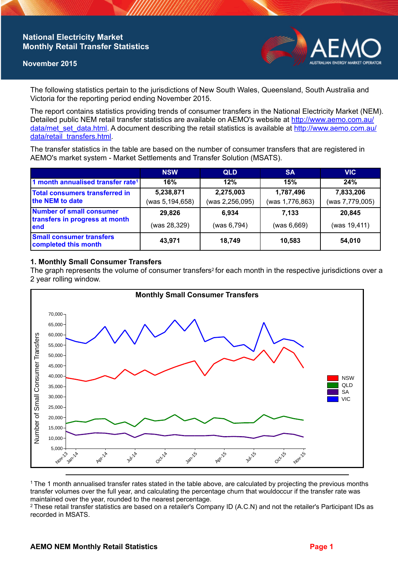## **National Electricity Market Monthly Retail Transfer Statistics**

#### **November 2015**



The following statistics pertain to the jurisdictions of New South Wales, Queensland, South Australia and Victoria for the reporting period ending November 2015.

The report contains statistics providing trends of consumer transfers in the National Electricity Market (NEM). Detailed public NEM retail transfer statistics are available on AEMO's website at [http://www.aemo.com.au/](http://www.aemo.com.au/data/met_set_data.html) [data/met\\_set\\_data.html](http://www.aemo.com.au/data/met_set_data.html). A document describing the retail statistics is available at [http://www.aemo.com.au/](http://www.aemo.com.au/data/retail_transfers.html) [data/retail\\_transfers.html](http://www.aemo.com.au/data/retail_transfers.html).

The transfer statistics in the table are based on the number of consumer transfers that are registered in AEMO's market system - Market Settlements and Transfer Solution (MSATS).

|                                                                           | <b>NSW</b>                   | <b>QLD</b>                   | <b>SA</b>                    | <b>VIC</b>                   |
|---------------------------------------------------------------------------|------------------------------|------------------------------|------------------------------|------------------------------|
| 1 month annualised transfer rate <sup>1</sup>                             | 16%                          | 12%                          | 15%                          | 24%                          |
| Total consumers transferred in<br>the NEM to date                         | 5,238,871<br>(was 5,194,658) | 2,275,003<br>(was 2,256,095) | 1,787,496<br>(was 1,776,863) | 7,833,206<br>(was 7,779,005) |
| <b>Number of small consumer</b><br>transfers in progress at month<br>lend | 29,826                       | 6.934                        | 7.133                        | 20,845                       |
|                                                                           | (was 28,329)                 | (was 6,794)                  | (was 6,669)                  | (was 19,411)                 |
| <b>Small consumer transfers</b><br>completed this month                   | 43,971                       | 18,749                       | 10,583                       | 54,010                       |

### **1. Monthly Small Consumer Transfers**

The graph represents the volume of consumer transfers<sup>2</sup> for each month in the respective jurisdictions over a 2 year rolling window.



<sup>1</sup>The 1 month annualised transfer rates stated in the table above, are calculated by projecting the previous months transfer volumes over the full year, and calculating the percentage churn that wouldoccur if the transfer rate was maintained over the year, rounded to the nearest percentage.

<sup>2</sup> These retail transfer statistics are based on a retailer's Company ID (A.C.N) and not the retailer's Participant IDs as recorded in MSATS.